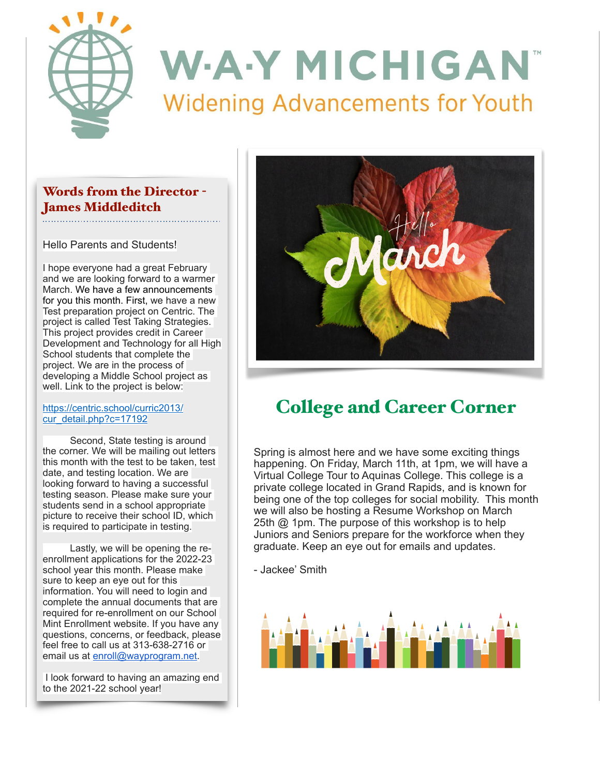

## Words from the Director - James Middleditch

Hello Parents and Students!

I hope everyone had a great February and we are looking forward to a warmer March. We have a few announcements for you this month. First, we have a new Test preparation project on Centric. The project is called Test Taking Strategies. This project provides credit in Career Development and Technology for all High School students that complete the project. We are in the process of developing a Middle School project as well. Link to the project is below:

### [https://centric.school/curric2013/](https://centric.school/curric2013/cur_detail.php?c=17192) [cur\\_detail.php?c=17192](https://centric.school/curric2013/cur_detail.php?c=17192)

 Second, State testing is around the corner. We will be mailing out letters this month with the test to be taken, test date, and testing location. We are looking forward to having a successful testing season. Please make sure your students send in a school appropriate picture to receive their school ID, which is required to participate in testing.

 Lastly, we will be opening the reenrollment applications for the 2022-23 school year this month. Please make sure to keep an eye out for this information. You will need to login and complete the annual documents that are required for re-enrollment on our School Mint Enrollment website. If you have any questions, concerns, or feedback, please feel free to call us at 313-638-2716 or email us at [enroll@wayprogram.net](mailto:enroll@wayprogram.net).

 I look forward to having an amazing end to the 2021-22 school year!



## College and Career Corner

Spring is almost here and we have some exciting things happening. On Friday, March 11th, at 1pm, we will have a Virtual College Tour to Aquinas College. This college is a private college located in Grand Rapids, and is known for being one of the top colleges for social mobility. This month we will also be hosting a Resume Workshop on March 25th @ 1pm. The purpose of this workshop is to help Juniors and Seniors prepare for the workforce when they graduate. Keep an eye out for emails and updates.

- Jackee' Smith